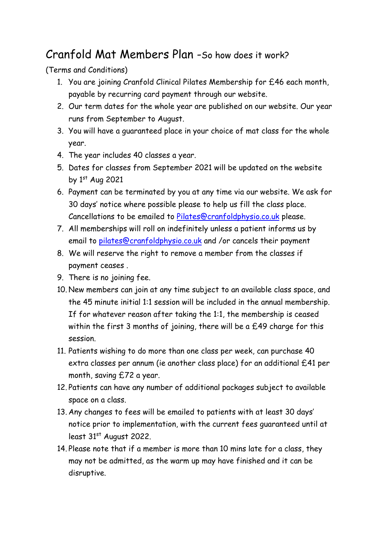## Cranfold Mat Members Plan -So how does it work?

(Terms and Conditions)

- 1. You are joining Cranfold Clinical Pilates Membership for £46 each month, payable by recurring card payment through our website.
- 2. Our term dates for the whole year are published on our website. Our year runs from September to August.
- 3. You will have a guaranteed place in your choice of mat class for the whole year.
- 4. The year includes 40 classes a year.
- 5. Dates for classes from September 2021 will be updated on the website by 1st Aug 2021
- 6. Payment can be terminated by you at any time via our website. We ask for 30 days' notice where possible please to help us fill the class place. Cancellations to be emailed to [Pilates@cranfoldphysio.co.uk](mailto:Pilates@cranfoldphysio.co.uk) please.
- 7. All memberships will roll on indefinitely unless a patient informs us by email to [pilates@cranfoldphysio.co.uk](mailto:pilates@cranfoldphysio.co.uk) and /or cancels their payment
- 8. We will reserve the right to remove a member from the classes if payment ceases .
- 9. There is no joining fee.
- 10. New members can join at any time subject to an available class space, and the 45 minute initial 1:1 session will be included in the annual membership. If for whatever reason after taking the 1:1, the membership is ceased within the first 3 months of joining, there will be a £49 charge for this session.
- 11. Patients wishing to do more than one class per week, can purchase 40 extra classes per annum (ie another class place) for an additional £41 per month, saving £72 a year.
- 12. Patients can have any number of additional packages subject to available space on a class.
- 13. Any changes to fees will be emailed to patients with at least 30 days' notice prior to implementation, with the current fees guaranteed until at least 31st August 2022.
- 14. Please note that if a member is more than 10 mins late for a class, they may not be admitted, as the warm up may have finished and it can be disruptive.